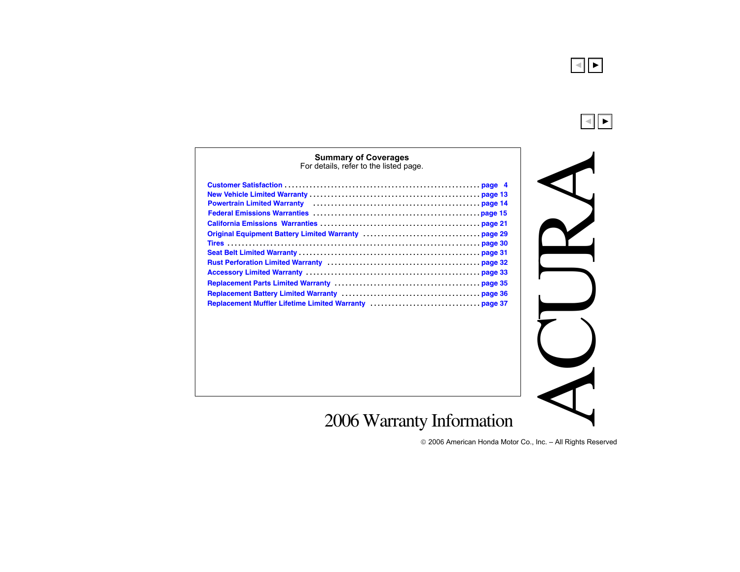

 $\blacktriangleleft$ ▼

#### **[Summary of Coverages](#page-8-0)**

For details, refer to the listed page.

<span id="page-0-0"></span>

| Powertrain Limited Warranty (Marketter Marsen Community) and the Powertrain Limited Warranty (Marketter Marsen |  |
|----------------------------------------------------------------------------------------------------------------|--|
|                                                                                                                |  |
|                                                                                                                |  |
|                                                                                                                |  |
|                                                                                                                |  |
|                                                                                                                |  |
|                                                                                                                |  |
|                                                                                                                |  |
|                                                                                                                |  |
|                                                                                                                |  |
| Replacement Muffler Lifetime Limited Warranty (1999) 1999 1998 37                                              |  |

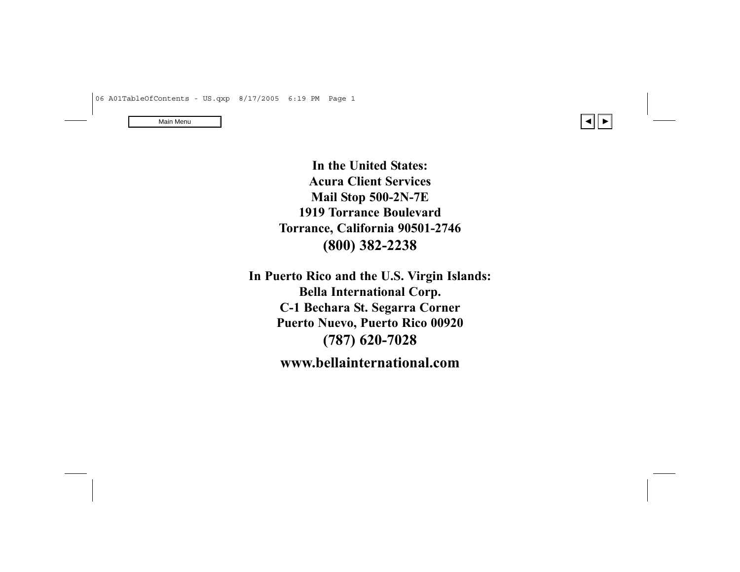

<span id="page-1-0"></span>**In the United States: Acura Client Services Mail Stop 500-2N-7E 1919 Torrance Boulevard Torrance, California 90501-2746 (800) 382-2238**

**In Puerto Rico and the U.S. Virgin Islands: Bella International Corp. C-1 Bechara St. Segarra Corner Puerto Nuevo, Puerto Rico 00920 (787) 620-7028 www.bellainternational.com**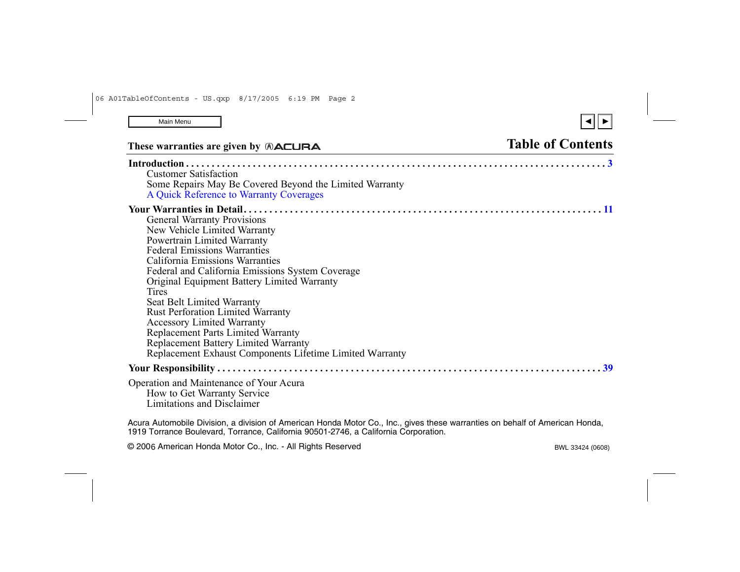# These warranties are given by  $\triangle$  **Table of Contents**

| <b>Customer Satisfaction</b>                                                                                                 |
|------------------------------------------------------------------------------------------------------------------------------|
| Some Repairs May Be Covered Beyond the Limited Warranty                                                                      |
| A Quick Reference to Warranty Coverages                                                                                      |
|                                                                                                                              |
| <b>General Warranty Provisions</b>                                                                                           |
| New Vehicle Limited Warranty                                                                                                 |
| Powertrain Limited Warranty                                                                                                  |
| <b>Federal Emissions Warranties</b>                                                                                          |
| California Emissions Warranties                                                                                              |
| Federal and California Emissions System Coverage                                                                             |
| Original Equipment Battery Limited Warranty                                                                                  |
| Tires                                                                                                                        |
| Seat Belt Limited Warranty                                                                                                   |
| <b>Rust Perforation Limited Warranty</b>                                                                                     |
| <b>Accessory Limited Warranty</b>                                                                                            |
| <b>Replacement Parts Limited Warranty</b>                                                                                    |
| <b>Replacement Battery Limited Warranty</b>                                                                                  |
| Replacement Exhaust Components Lifetime Limited Warranty                                                                     |
|                                                                                                                              |
| Operation and Maintenance of Your Acura<br>How to Get Warranty Service<br>Limitations and Disclaimer                         |
| Acura Automobile Division, a division of American Honda Motor Co., Inc., gives these warranties on behalf of American Honda, |

1919 Torrance Boulevard, Torrance, California 90501-2746, a California Corporation.

© 2006 American Honda Motor Co., Inc. - All Rights Reserved BWL 33424 (0608)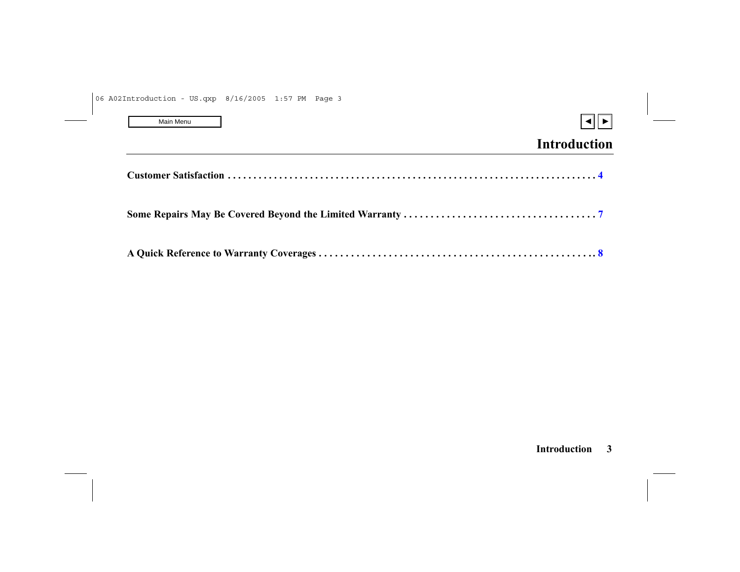| Main Menu |  |
|-----------|--|
|-----------|--|

<span id="page-3-0"></span>

# **Introduction**

|--|--|--|--|

|--|--|--|--|--|

#### **Introduction 3**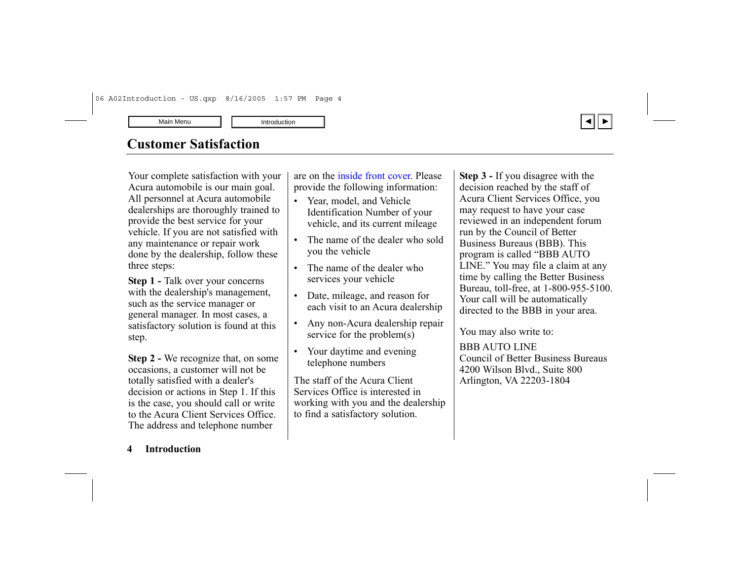

## <span id="page-4-0"></span>**Customer Satisfaction**

Your complete satisfaction with your Acura automobile is our main goal. All personnel at Acura automobile dealerships are thoroughly trained to provide the best service for your vehicle. If you are not satisfied with any maintenance or repair work done by the dealership, follow these three steps:

**Step 1 - Talk over your concerns** with the dealership's management, such as the service manager or general manager. In most cases, a satisfactory solution is found at this step.

**Step 2 -** We recognize that, on some occasions, a customer will not be totally satisfied with a dealer's decision or actions in Step 1. If this is the case, you should call or write to the Acura Client Services Office. The address and telephone number

are on the [inside front cover.](#page-1-0) Please provide the following information:

- • Year, model, and Vehicle Identification Number of your vehicle, and its current mileage
- • The name of the dealer who sold you the vehicle
- • The name of the dealer who services your vehicle
- • Date, mileage, and reason for each visit to an Acura dealership
- • Any non-Acura dealership repair service for the problem(s)
- • Your daytime and evening telephone numbers

The staff of the Acura Client Services Office is interested in working with you and the dealership to find a satisfactory solution.

**Step 3 -** If you disagree with the decision reached by the staff of Acura Client Services Office, you may request to have your case reviewed in an independent forum run by the Council of Better Business Bureaus (BBB). This program is called "BBB AUTO LINE." You may file a claim at any time by calling the Better Business Bureau, toll-free, at 1-800-955-5100. Your call will be automatically directed to the BBB in your area.

You may also write to:

BBB AUTO LINE Council of Better Business Bureaus 4200 Wilson Blvd., Suite 800 Arlington, VA 22203-1804

#### **4 Introduction**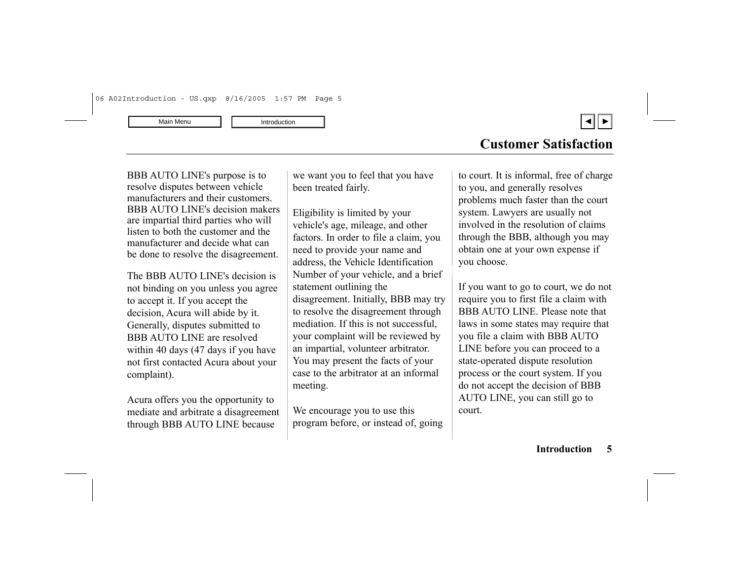

BBB AUTO LINE's purpose is to resolve disputes between vehicle manufacturers and their customers. BBB AUTO LINE's decision makers are impartial third parties who will listen to both the customer and the manufacturer and decide what can be done to resolve the disagreement.

The BBB AUTO LINE's decision is not binding on you unless you agree to accept it. If you accept the decision, Acura will abide by it. Generally, disputes submitted to BBB AUTO LINE are resolved within 40 days (47 days if you have not first contacted Acura about your complaint).

Acura offers you the opportunity to mediate and arbitrate a disagreement through BBB AUTO LINE because

we want you to feel that you have been treated fairly.

Eligibility is limited by your vehicle's age, mileage, and other factors. In order to file a claim, you need to provide your name and address, the Vehicle Identification Number of your vehicle, and a brief statement outlining the disagreement. Initially, BBB may try to resolve the disagreement through mediation. If this is not successful, your complaint will be reviewed by an impartial, volunteer arbitrator. You may present the facts of your case to the arbitrator at an informal meeting.

We encourage you to use this program before, or instead of, going to court. It is informal, free of charge to you, and generally resolves problems much faster than the court system. Lawyers are usually not involved in the resolution of claims through the BBB, although you may obtain one at your own expense if you choose.

If you want to go to court, we do not require you to first file a claim with BBB AUTO LINE. Please note that laws in some states may require that you file a claim with BBB AUTO LINE before you can proceed to a state-operated dispute resolution process or the court system. If you do not accept the decision of BBB AUTO LINE, you can still go to court.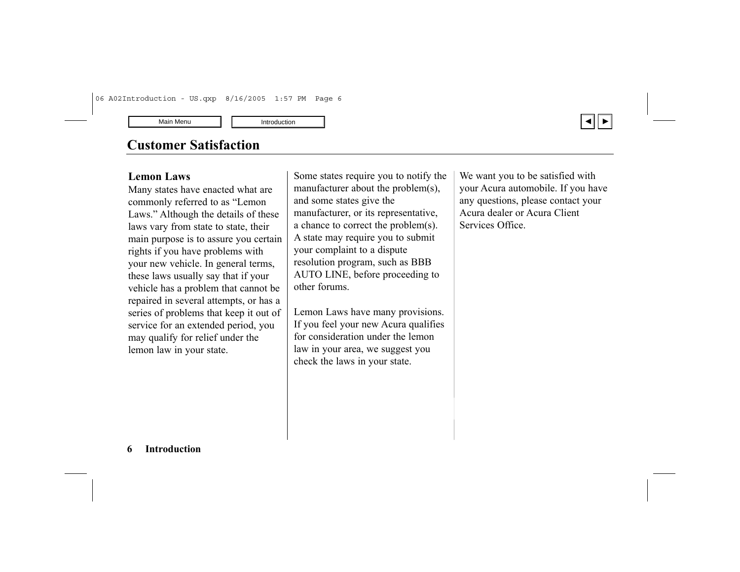# **Customer Satisfaction**

### **Lemon Laws**

Many states have enacted what are commonly referred to as "Lemon Laws." Although the details of these laws vary from state to state, their main purpose is to assure you certain rights if you have problems with your new vehicle. In general terms, these laws usually say that if your vehicle has a problem that cannot be repaired in several attempts, or has a series of problems that keep it out of service for an extended period, you may qualify for relief under the lemon law in your state.

Some states require you to notify the manufacturer about the problem(s), and some states give the manufacturer, or its representative, a chance to correct the problem(s). A state may require you to submit your complaint to a dispute resolution program, such as BBB AUTO LINE, before proceeding to other forums.

Lemon Laws have many provisions. If you feel your new Acura qualifies for consideration under the lemon law in your area, we suggest you check the laws in your state.

We want you to be satisfied with your Acura automobile. If you have any questions, please contact your Acura dealer or Acura Client Services Office.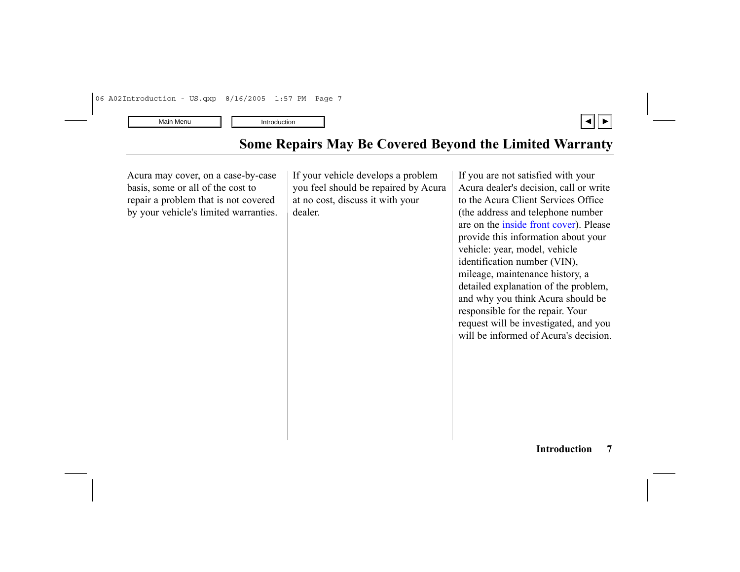

<span id="page-7-0"></span>Acura may cover, on a case-by-case basis, some or all of the cost to repair a problem that is not covered by your vehicle's limited warranties. If your vehicle develops a problem you feel should be repaired by Acura at no cost, discuss it with your dealer.

If you are not satisfied with your Acura dealer's decision, call or write to the Acura Client Services Office (the address and telephone number are on the [inside front cover\).](#page-1-0) Please provide this information about your vehicle: year, model, vehicle identification number (VIN), mileage, maintenance history, a detailed explanation of the problem, and why you think Acura should be responsible for the repair. Your request will be investigated, and you will be informed of Acura's decision.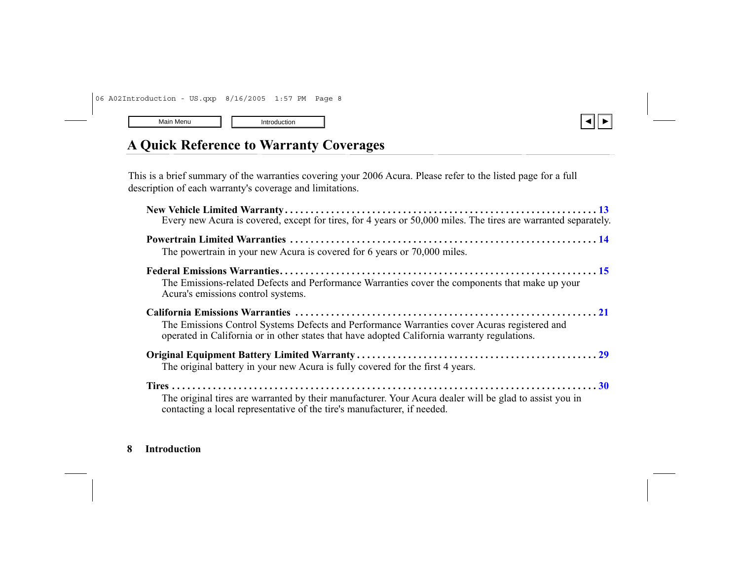

# <span id="page-8-0"></span>**A Quick Reference to Warranty Coverages**

This is a brief summary of the warranties covering your 2006 Acura. Please refer to the listed page for a full description of each warranty's coverage and limitations.

| Every new Acura is covered, except for tires, for 4 years or 50,000 miles. The tires are warranted separately.                                                                               |  |
|----------------------------------------------------------------------------------------------------------------------------------------------------------------------------------------------|--|
| The powertrain in your new Acura is covered for 6 years or 70,000 miles.                                                                                                                     |  |
| The Emissions-related Defects and Performance Warranties cover the components that make up your<br>Acura's emissions control systems.                                                        |  |
| The Emissions Control Systems Defects and Performance Warranties cover Acuras registered and<br>operated in California or in other states that have adopted California warranty regulations. |  |
| The original battery in your new Acura is fully covered for the first 4 years.                                                                                                               |  |
| The original tires are warranted by their manufacturer. Your Acura dealer will be glad to assist you in<br>contacting a local representative of the tire's manufacturer, if needed.          |  |

#### **8 Introduction**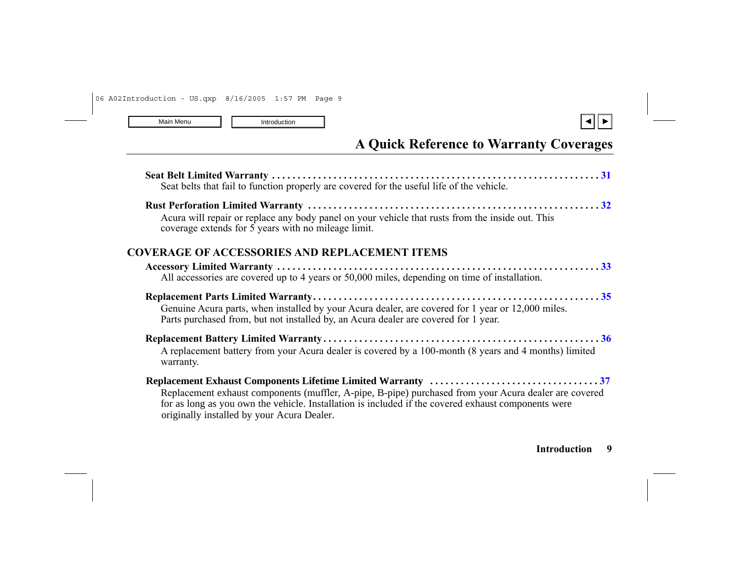

# **A Quick Reference to Warranty Coverages**

| Seat belts that fail to function properly are covered for the useful life of the vehicle.                                                                                                                                                                  |  |
|------------------------------------------------------------------------------------------------------------------------------------------------------------------------------------------------------------------------------------------------------------|--|
| Acura will repair or replace any body panel on your vehicle that rusts from the inside out. This<br>coverage extends for 5 years with no mileage limit.                                                                                                    |  |
| COVERAGE OF ACCESSORIES AND REPLACEMENT ITEMS                                                                                                                                                                                                              |  |
| All accessories are covered up to 4 years or 50,000 miles, depending on time of installation.                                                                                                                                                              |  |
| Genuine Acura parts, when installed by your Acura dealer, are covered for 1 year or 12,000 miles.<br>Parts purchased from, but not installed by, an Acura dealer are covered for 1 year.                                                                   |  |
| A replacement battery from your Acura dealer is covered by a 100-month (8 years and 4 months) limited<br>warranty.                                                                                                                                         |  |
| Replacement exhaust components (muffler, A-pipe, B-pipe) purchased from your Acura dealer are covered<br>for as long as you own the vehicle. Installation is included if the covered exhaust components were<br>originally installed by your Acura Dealer. |  |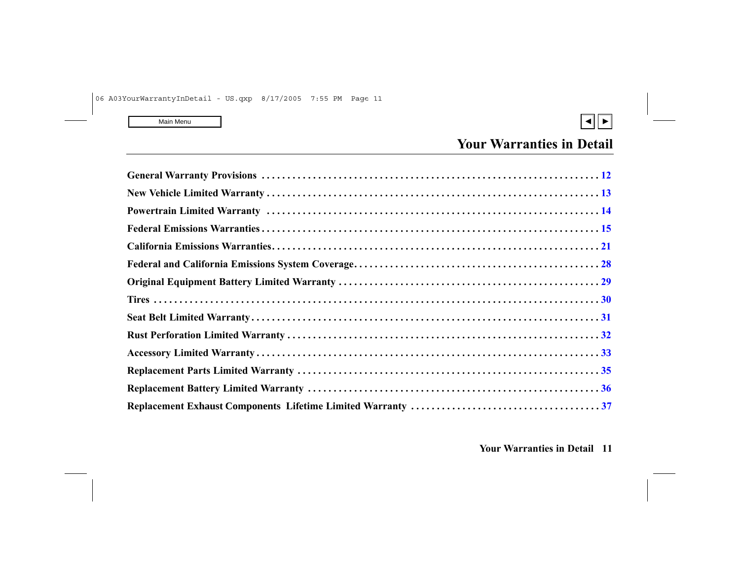

<span id="page-10-0"></span>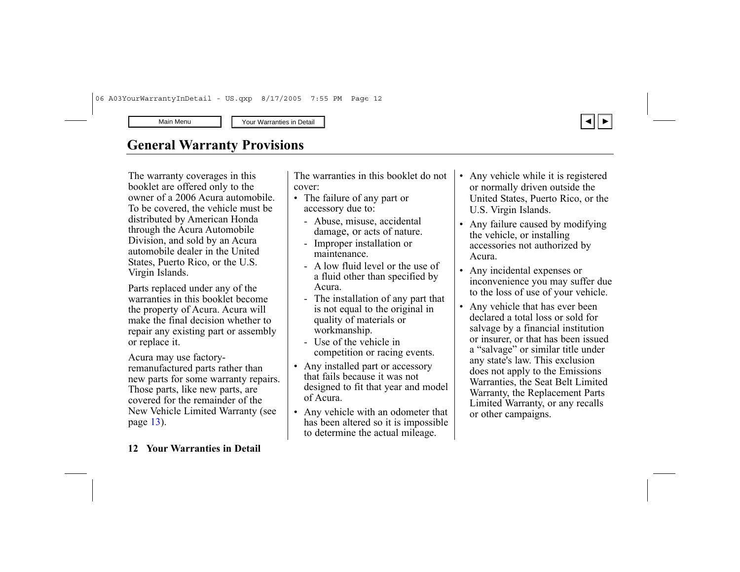

# <span id="page-11-0"></span>**General Warranty Provisions**

The warranty coverages in this booklet are offered only to the owner of a 2006 Acura automobile. To be covered, the vehicle must be distributed by American Honda through the Acura Automobile Division, and sold by an Acura automobile dealer in the United States, Puerto Rico, or the U.S. Virgin Islands.

Parts replaced under any of the warranties in this booklet become the property of Acura. Acura will make the final decision whether to repair any existing part or assembly or replace it.

Acura may use factoryremanufactured parts rather than new parts for some warranty repairs. Those parts, like new parts, are covered for the remainder of the New Vehicle Limited Warranty (see page [13](#page-12-0)).

#### The warranties in this booklet do not cover:

- The failure of any part or accessory due to:
	- Abuse, misuse, accidental damage, or acts of nature.
	- Improper installation or maintenance.
	- A low fluid level or the use of a fluid other than specified by Acura.
	- The installation of any part that is not equal to the original in quality of materials or workmanship.
	- Use of the vehicle in competition or racing events.
- Any installed part or accessory that fails because it was not designed to fit that year and model of Acura.
- Any vehicle with an odometer that has been altered so it is impossible to determine the actual mileage.
- Any vehicle while it is registered or normally driven outside the United States, Puerto Rico, or the U.S. Virgin Islands.
- Any failure caused by modifying the vehicle, or installing accessories not authorized by Acura.
- Any incidental expenses or inconvenience you may suffer due to the loss of use of your vehicle.
- Any vehicle that has ever been declared a total loss or sold for salvage by a financial institution or insurer, or that has been issued <sup>a</sup>"salvage" or similar title under any state's law. This exclusion does not apply to the Emissions Warranties, the Seat Belt Limited Warranty, the Replacement Parts Limited Warranty, or any recalls or other campaigns.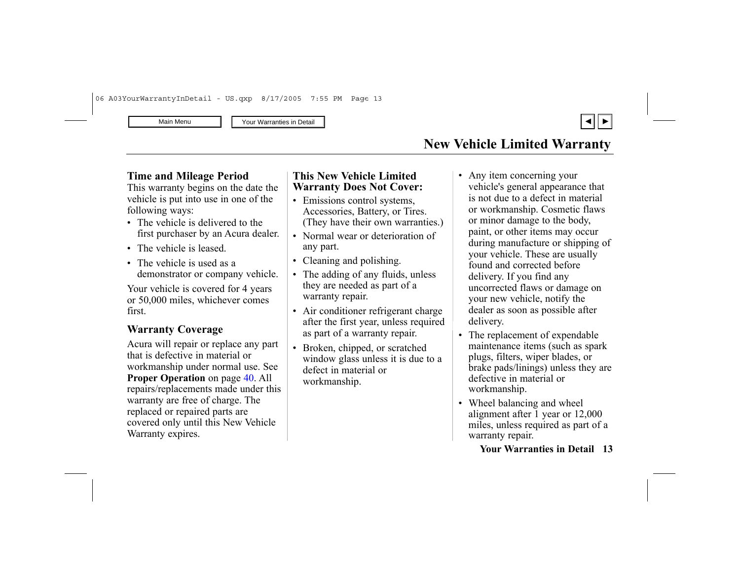# **New Vehicle Limited Warranty**

#### <span id="page-12-0"></span>**Time and Mileage Period**

This warranty begins on the date the vehicle is put into use in one of the following ways:

- The vehicle is delivered to the first purchaser by an Acura dealer.
- The vehicle is leased.
- The vehicle is used as a demonstrator or company vehicle.

Your vehicle is covered for 4 years or 50,000 miles, whichever comes first.

### **Warranty Coverage**

Acura will repair or replace any part that is defective in material or workmanship under normal use. See **Proper Operatio <sup>n</sup>** on page [40](#page-38-0). All repairs/replacements made under this warranty are free of charge. The replaced or repaired parts are covered only until this New Vehicle Warranty expires.

#### **This New Vehicle Limited Warranty Does Not Cover:**

- Emissions control systems, Accessories, Battery, or Tires. (They have their own warranties.)
- Normal wear or deterioration of any part.
- Cleaning and polishing.
- The adding of any fluids, unless they are needed as part of a warranty repair.
- Air conditioner refrigerant charge after the first year, unless required as part of a warranty repair.
- Broken, chipped, or scratched window glass unless it is due to a defect in material or workmanship.
- • Any item concerning your vehicle's general appearance that is not due to a defect in material or workmanship. Cosmetic flaws or minor damage to the body, paint, or other items may occur during manufacture or shipping of your vehicle. These are usually found and corrected before delivery. If you find any uncorrected flaws or damage on your new vehicle, notify the dealer as soon as possible after delivery.
- • The replacement of expendable maintenance items (such as spark plugs, filters, wiper blades, or brake pads/linings) unless they are defective in material or workmanship.
- Wheel balancing and wheel alignment after 1 year or 12,000 miles, unless required as part of a warranty repair.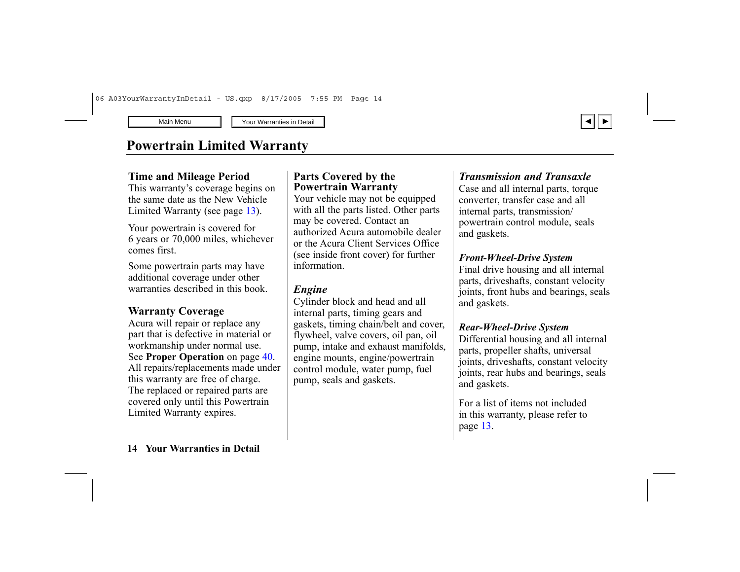# <span id="page-13-0"></span>**Powertrain Limited Warranty**

#### **Time and Mileage Period**

This warranty's coverage begins on the same date as the New Vehicle Limited Warranty (see page [13](#page-12-0)).

Your powertrain is covered for 6 years or 70,000 miles, whichever comes first.

Some powertrain parts may have additional coverage under other warranties described in this book.

### **Warranty Coverage**

Acura will repair or replace any part that is defective in material or workmanship under normal use. See **Proper Operation** on page [40](#page-38-0). All repairs/replacements made under this warranty are free of charge. The replaced or repaired parts are covered only until this Powertrain Limited Warranty expires.

#### **Parts Covered by the Powertrain Warranty**

Your vehicle may not be equipped with all the parts listed. Other parts may be covered. Contact an authorized Acura automobile dealer or the Acura Client Services Office (see inside front cover) for further information.

### *Engine*

Cylinder block and head and all internal parts, timing gears and gaskets, timing chain/belt and cover, flywheel, valve covers, oil pan, oil pump, intake and exhaust manifolds, engine mounts, engine/powertrain control module, water pump, fuel pump, seals and gaskets.

#### *Transmission and Transaxle*

Case and all internal parts, torque converter, transfer case and all internal parts, transmission/ powertrain control module, seals and gaskets.

#### *Front-Wheel-Drive System*

Final drive housing and all internal parts, driveshafts, constant velocity joints, front hubs and bearings, seals and gaskets.

#### *Rear-Wheel-Drive System*

Differential housing and all internal parts, propeller shafts, universal joints, driveshafts, constant velocity joints, rear hubs and bearings, seals and gaskets.

For a list of items not included in this warranty, please refer to page [13](#page-12-0).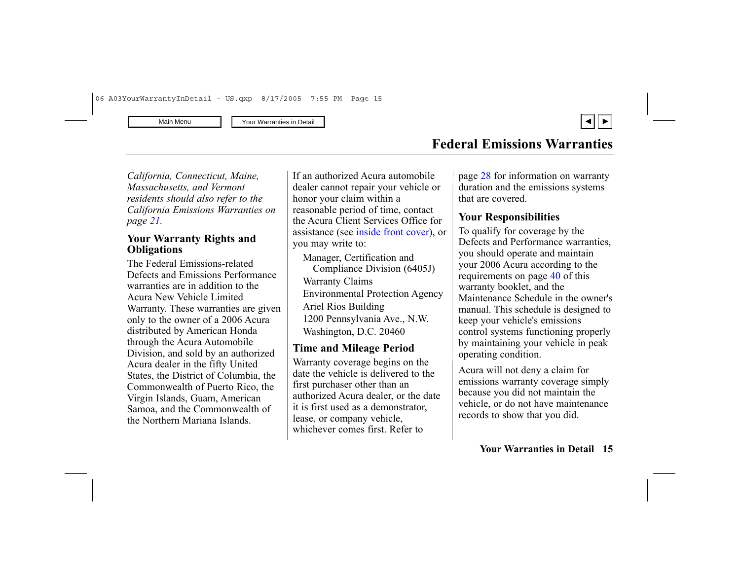

### **Federal Emissions Warranties**

<span id="page-14-0"></span>*California, Connecticut, Maine, Massachusetts, and Vermont residents should also refer to the California Emissions Warranties on page [21](#page-20-0).*

#### **Your Warranty Rights and Obligations**

The Federal Emissions-related Defects and Emissions Performance warranties are in addition to the Acura New Vehicle Limited Warranty. These warranties are given only to the owner of a 2006 Acura distributed by American Honda through the Acura Automobile Division, and sold by an authorized Acura dealer in the fifty United States, the District of Columbia, the Commonwealth of Puerto Rico, the Virgin Islands, Guam, American Samoa, and the Commonwealth of the Northern Mariana Islands.

If an authorized Acura automobile dealer cannot repair your vehicle or honor your claim within a reasonable period of time, contact the Acura Client Services Office for assistance (see [inside front cover\),](#page-1-0) or you may write to:

Manager, Certification and Compliance Division (6405J) Warranty Claims Environmental Protection Agency Ariel Rios Building 1200 Pennsylvania Ave., N.W. Washington, D.C. 20460

### **Time and Mileage Period**

Warranty coverage begins on the date the vehicle is delivered to the first purchaser other than an authorized Acura dealer, or the date it is first used as a demonstrator, lease, or company vehicle, whichever comes first. Refer to

page [28](#page-27-0) for information on warranty duration and the emissions systems that are covered.

### **Your Responsibilities**

To qualify for coverage by the Defects and Performance warranties, you should operate and maintain your 2006 Acura according to the requirements on page [40](#page-38-0) of this warranty booklet, and the Maintenance Schedule in the owner's manual. This schedule is designed to keep your vehicle's emissions control systems functioning properly by maintaining your vehicle in peak operating condition.

Acura will not deny a claim for emissions warranty coverage simply because you did not maintain the vehicle, or do not have maintenance records to show that you did.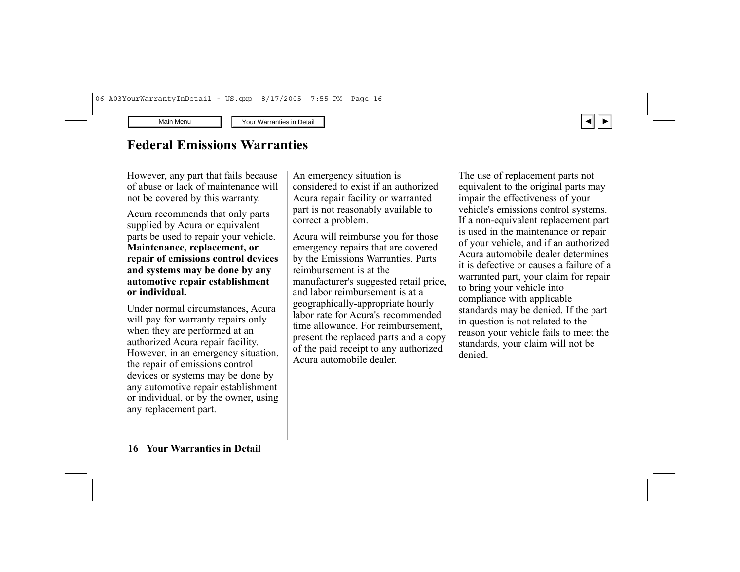### **Federal Emissions Warranties**

However, any part that fails because of abuse or lack of maintenance will not be covered by this warranty.

Acura recommends that only parts supplied by Acura or equivalent parts be used to repair your vehicle. **Maintenance, replacement, or repair of emissions control devices and systems may be done by any automotive repair establishment or individual.**

Under normal circumstances, Acura will pay for warranty repairs only when they are performed at an authorized Acura repair facility. However, in an emergency situation, the repair of emissions control devices or systems may be done by any automotive repair establishment or individual, or by the owner, using any replacement part.

An emergency situation is considered to exist if an authorized Acura repair facility or warranted part is not reasonably available to correct a problem.

Acura will reimburse you for those emergency repairs that are covered by the Emissions Warranties. Parts reimbursement is at the manufacturer's suggested retail price, and labor reimbursement is at a geographically-appropriate hourly labor rate for Acura's recommended time allowance. For reimbursement, present the replaced parts and a copy of the paid receipt to any authorized Acura automobile dealer.

The use of replacement parts not equivalent to the original parts may impair the effectiveness of your vehicle's emissions control systems. If a non-equivalent replacement part is used in the maintenance or repair of your vehicle, and if an authorized Acura automobile dealer determines it is defective or causes a failure of a warranted part, your claim for repair to bring your vehicle into compliance with applicable standards may be denied. If the part in question is not related to the reason your vehicle fails to meet the standards, your claim will not be denied.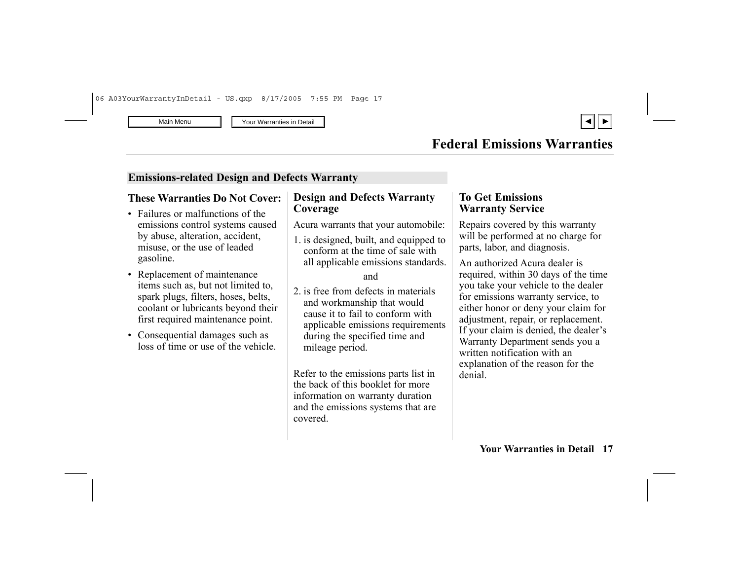

#### **Emissions-related Design and Defects Warranty**

#### **These Warranties Do Not Cover:**

- Failures or malfunctions of the emissions control systems caused by abuse, alteration, accident, misuse, or the use of leaded gasoline.
- Replacement of maintenance items such as, but not limited to, spark plugs, filters, hoses, belts, coolant or lubricants beyond their first required maintenance point.
- Consequential damages such as loss of time or use of the vehicle.

### **Design and Defects Warranty Coverage**

Acura warrants that your automobile:

1. is designed, built, and equipped to conform at the time of sale with all applicable emissions standards.

#### and

2. is free from defects in materials and workmanship that would cause it to fail to conform with applicable emissions requirements during the specified time and mileage period.

Refer to the emissions parts list in the back of this booklet for more information on warranty duration and the emissions systems that are covered.

#### **To Get Emissions Warranty Service**

Repairs covered by this warranty will be performed at no charge for parts, labor, and diagnosis.

An authorized Acura dealer is required, within 30 days of the time you take your vehicle to the dealer for emissions warranty service, to either honor or deny your claim for adjustment, repair, or replacement. If your claim is denied, the dealer's Warranty Department sends you a written notification with an explanation of the reason for the denial.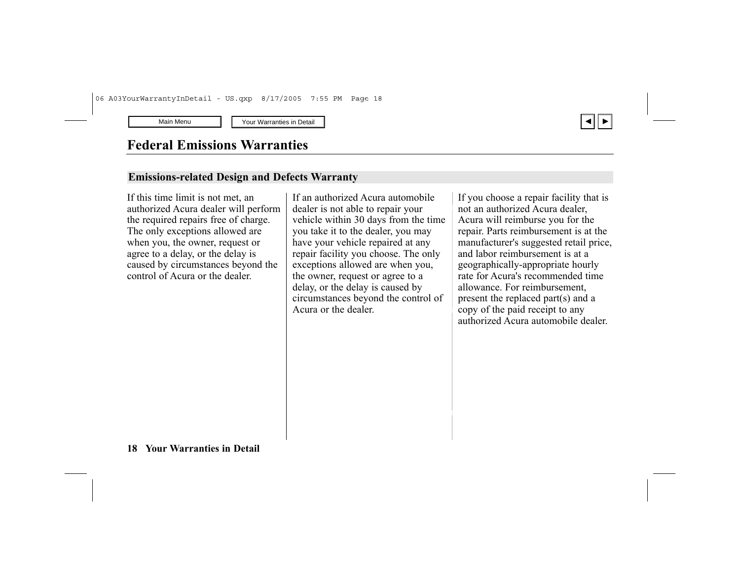

### **Federal Emissions Warranties**

#### **Emissions-related Design and Defects Warranty**

If this time limit is not met, an authorized Acura dealer will perform the required repairs free of charge. The only exceptions allowed are when you, the owner, request or agree to a delay, or the delay is caused by circumstances beyond the control of Acura or the dealer.

If an authorized Acura automobile dealer is not able to repair your vehicle within 30 days from the time you take it to the dealer, you may have your vehicle repaired at any repair facility you choose. The only exceptions allowed are when you, the owner, request or agree to a delay, or the delay is caused by circumstances beyond the control of Acura or the dealer.

If you choose a repair facility that is not an authorized Acura dealer, Acura will reimburse you for the repair. Parts reimbursement is at the manufacturer's suggested retail price, and labor reimbursement is at a geographically-appropriate hourly rate for Acura's recommended time allowance. For reimbursement, present the replaced part(s) and a copy of the paid receipt to any authorized Acura automobile dealer.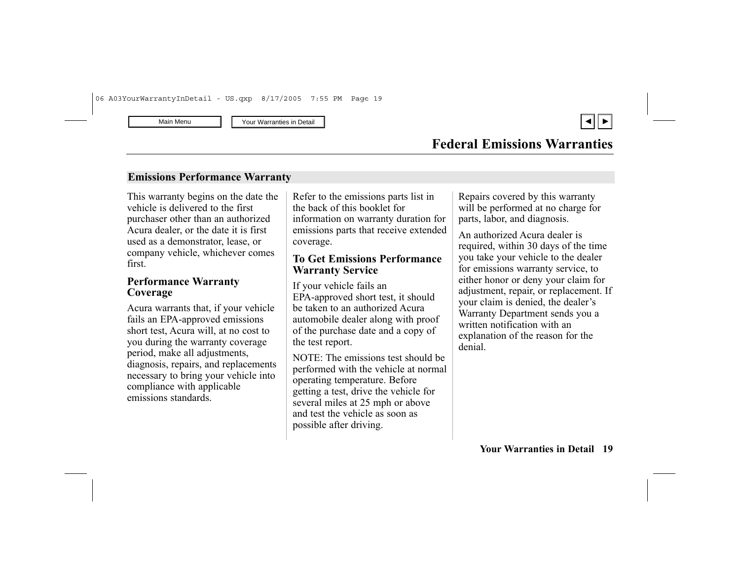#### **Emissions Performance Warranty**

This warranty begins on the date the vehicle is delivered to the first purchaser other than an authorized Acura dealer, or the date it is first used as a demonstrator, lease, or company vehicle, whichever comes first.

#### **Performance Warranty Coverage**

Acura warrants that, if your vehicle fails an EPA-approved emissions short test, Acura will, at no cost to you during the warranty coverage period, make all adjustments, diagnosis, repairs, and replacements necessary to bring your vehicle into compliance with applicable emissions standards.

Refer to the emissions parts list in the back of this booklet for information on warranty duration for emissions parts that receive extended coverage.

### **To Get Emissions Performance Warranty Service**

If your vehicle fails an EPA-approved short test, it should be taken to an authorized Acura automobile dealer along with proof of the purchase date and a copy of the test report.

NOTE: The emissions test should be performed with the vehicle at normal operating temperature. Before getting a test, drive the vehicle for several miles at 25 mph or above and test the vehicle as soon as possible after driving.

Repairs covered by this warranty will be performed at no charge for parts, labor, and diagnosis.

An authorized Acura dealer is required, within 30 days of the time you take your vehicle to the dealer for emissions warranty service, to either honor or deny your claim for adjustment, repair, or replacement. If your claim is denied, the dealer's Warranty Department sends you a written notification with an explanation of the reason for the denial.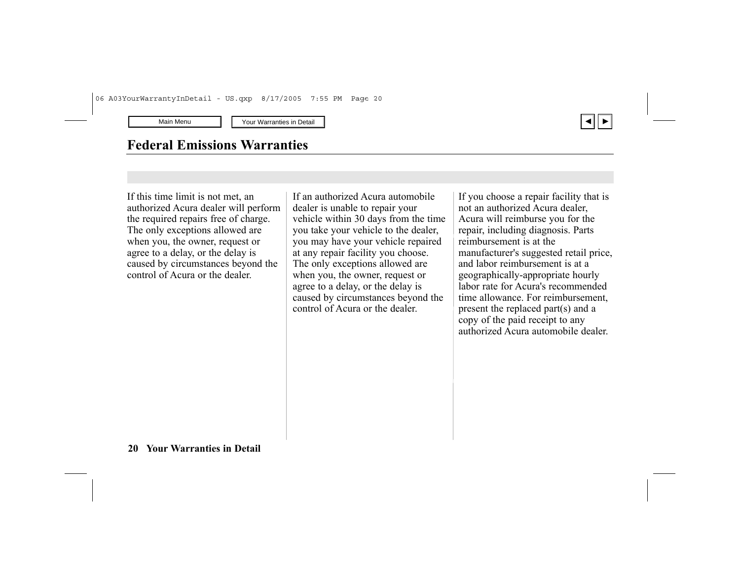# **Federal Emissions Warranties**

If this time limit is not met, an authorized Acura dealer will perform the required repairs free of charge. The only exceptions allowed are when you, the owner, request or agree to a delay, or the delay is caused by circumstances beyond the control of Acura or the dealer.

If an authorized Acura automobile dealer is unable to repair your vehicle within 30 days from the time you take your vehicle to the dealer, you may have your vehicle repaired at any repair facility you choose. The only exceptions allowed are when you, the owner, request or agree to a delay, or the delay is caused by circumstances beyond the control of Acura or the dealer.

If you choose a repair facility that is not an authorized Acura dealer, Acura will reimburse you for the repair, including diagnosis. Parts reimbursement is at the manufacturer's suggested retail price, and labor reimbursement is at a geographically-appropriate hourly labor rate for Acura's recommended time allowance. For reimbursement, present the replaced part(s) and a copy of the paid receipt to any authorized Acura automobile dealer.

▲ ▼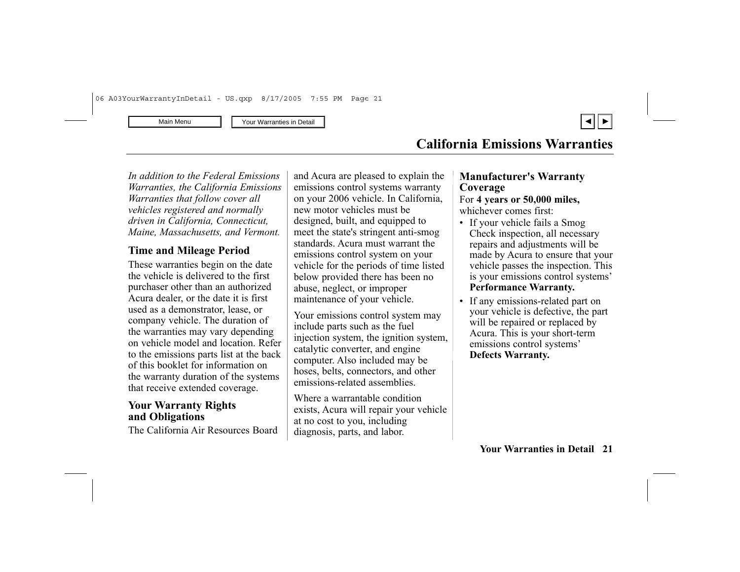

<span id="page-20-0"></span>*In addition to the Federal Emissions Warranties, the California Emissions Warranties that follow cover all vehicles registered and normally driven in California, Connecticut, Maine, Massachusetts, and Vermont.*

### **Time and Mileage Period**

These warranties begin on the date the vehicle is delivered to the first purchaser other than an authorized Acura dealer, or the date it is first used as a demonstrator, lease, or company vehicle. The duration of the warranties may vary depending on vehicle model and location. Refer to the emissions parts list at the back of this booklet for information on the warranty duration of the systems that receive extended coverage.

#### **Your Warranty Rights and Obligations**

The California Air Resources Board

and Acura are pleased to explain the emissions control systems warranty on your 2006 vehicle. In California, new motor vehicles must be designed, built, and equipped to meet the state's stringent anti-smog standards. Acura must warrant the emissions control system on your vehicle for the periods of time listed below provided there has been no abuse, neglect, or improper maintenance of your vehicle.

Your emissions control system may include parts such as the fuel injection system, the ignition system, catalytic converter, and engine computer. Also included may be hoses, belts, connectors, and other emissions-related assemblies.

Where a warrantable condition exists, Acura will repair your vehicle at no cost to you, including diagnosis, parts, and labor.

### **Manufacturer's Warranty Coverage**

# For **4 years or 50,000 miles,**

- whichever comes first:
- If your vehicle fails a Smog Check inspection, all necessary repairs and adjustments will be made by Acura to ensure that your vehicle passes the inspection. This is your emissions control systems' **Performance Warranty.**
- If any emissions-related part on your vehicle is defective, the part will be repaired or replaced by Acura. This is your short-term emissions control systems' **Defects Warranty.**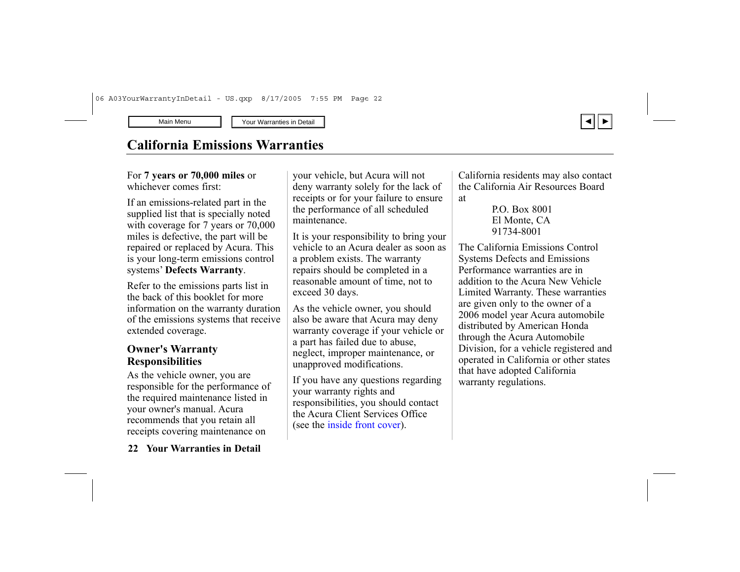# **California Emissions Warranties**

For **7 years or 70,000 miles** or whichever comes first:

If an emissions-related part in the supplied list that is specially noted with coverage for 7 years or  $70,000$ miles is defective, the part will be repaired or replaced by Acura. This is your long-term emissions control systems' **Defects Warranty**.

Refer to the emissions parts list in the back of this booklet for more information on the warranty duration of the emissions systems that receive extended coverage.

### **Owner's Warranty Responsibilities**

As the vehicle owner, you are responsible for the performance of the required maintenance listed in your owner's manual. Acura recommends that you retain all receipts covering maintenance on

your vehicle, but Acura will not deny warranty solely for the lack of receipts or for your failure to ensure the performance of all scheduled maintenance.

It is your responsibility to bring your vehicle to an Acura dealer as soon as a problem exists. The warranty repairs should be completed in a reasonable amount of time, not to exceed 30 days.

As the vehicle owner, you should also be aware that Acura may deny warranty coverage if your vehicle or a part has failed due to abuse, neglect, improper maintenance, or unapproved modifications.

If you have any questions regarding your warranty rights and responsibilities, you should contact the Acura Client Services Office (see the [inside front cover\)](#page-1-0).

California residents may also contact the California Air Resources Board at

The California Emissions Control Systems Defects and Emissions Performance warranties are in addition to the Acura New Vehicle Limited Warranty. These warranties are given only to the owner of a 2006 model year Acura automobile distributed by American Honda through the Acura Automobile Division, for a vehicle registered and operated in California or other states that have adopted California warranty regulations.



P.O. Box 8001 El Monte, CA 91734-8001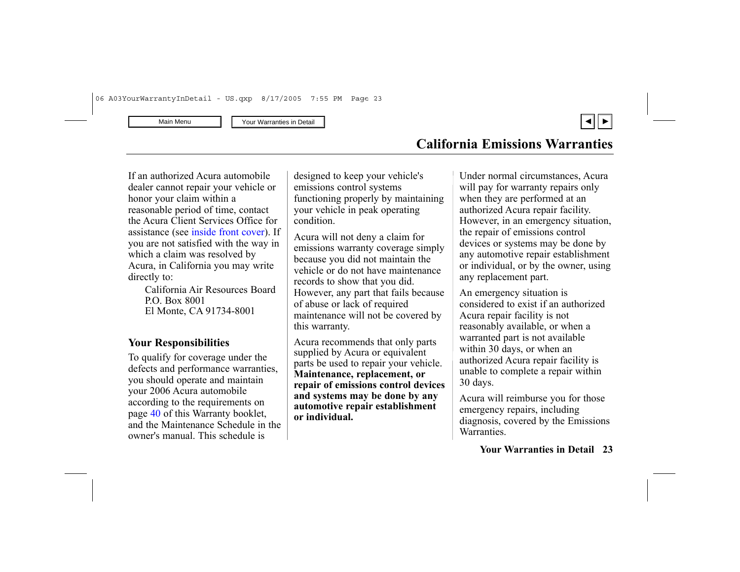▲ ▼

If an authorized Acura automobile dealer cannot repair your vehicle or honor your claim within a reasonable period of time, contact the Acura Client Services Office for assistance (see [inside front cover\).](#page-1-0) If you are not satisfied with the way in which a claim was resolved by Acura, in California you may write directly to:

> California Air Resources Board P.O. Box 8001 El Monte, C A 91734-8001

### **You <sup>r</sup> Responsibilities**

To qualify for coverage under the defects and performance warranties, you should operate and maintain your 2006 Acura automobile according to the requirements on page [40](#page-38-0) of this Warranty booklet, and the Maintenance Schedule in the owner's manual. This schedule is

designed to keep your vehicle's emissions control systems functioning properly by maintaining your vehicle in peak operating condition.

Acura will not deny a claim for emissions warranty coverage simply because you did not maintain the vehicle or do not have maintenance records to show that you did. However, any part that fails because of abuse or lack of required maintenance will not be covered by this warranty.

Acura recommends that only parts supplied by Acura or equivalent parts be used to repair your vehicle. **Maintenance, replacement, or repair of emissions control devices and systems may be done by any automotive repair establishment or individual.**

Under normal circumstances, Acura will pay for warranty repairs only when they are performed at an authorized Acura repair facility. However, in an emergency situation, the repair of emissions control devices or systems may be done by any automotive repair establishment or individual, or by the owner, using any replacement part.

An emergency situation is considered to exist if an authorized Acura repair facility is not reasonably available, or when a warranted part is not available within 30 days, or when an authorized Acura repair facility is unable to complete a repair within 30 days.

Acura will reimburse you for those emergency repairs, including diagnosis, covered by the Emissions **Warranties**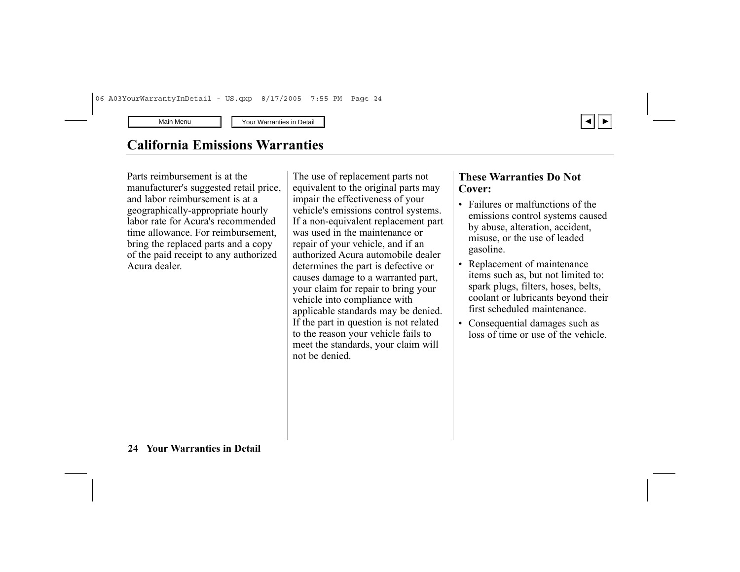# **California Emissions Warranties**

Parts reimbursement is at the manufacturer's suggested retail price, and labor reimbursement is at a geographically-appropriate hourly labor rate for Acura's recommended time allowance. For reimbursement, bring the replaced parts and a copy of the paid receipt to any authorized Acura dealer.

The use of replacement parts not equivalent to the original parts may impair the effectiveness of your vehicle's emissions control systems. If a non-equivalent replacement part was used in the maintenance or repair of your vehicle, and if an authorized Acura automobile dealer determines the part is defective or causes damage to a warranted part, your claim for repair to bring your vehicle into compliance with applicable standards may be denied. If the part in question is not related to the reason your vehicle fails to meet the standards, your claim will not be denied.

#### **These Warranties Do Not Cover:**

• Failures or malfunctions of the emissions control systems caused by abuse, alteration, accident, misuse, or the use of leaded gasoline.

▲ ▼

- • Replacement of maintenance items such as, but not limited to: spark plugs, filters, hoses, belts, coolant or lubricants beyond their first scheduled maintenance.
- • Consequential damages such as loss of time or use of the vehicle.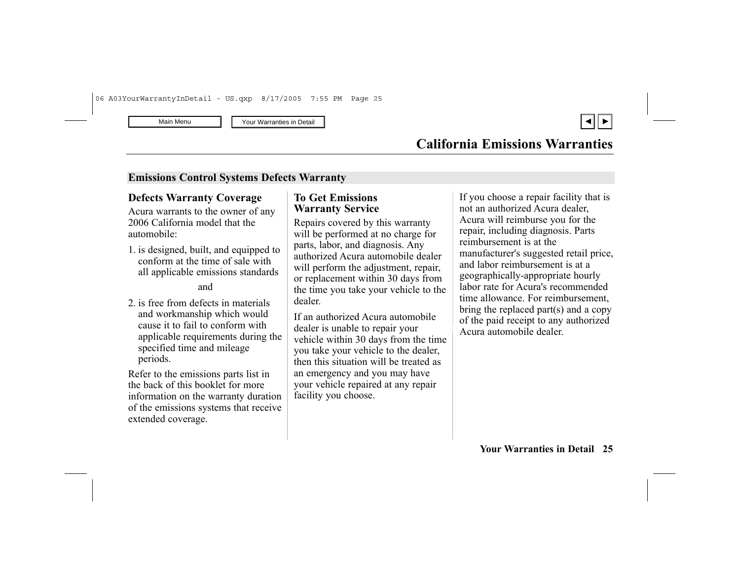

#### **Emissions Control Systems Defects Warranty**

#### **Defects Warranty Coverage**

Acura warrants to the owner of any 2006 California model that the automobile:

1. is designed, built, and equipped to conform at the time of sale with all applicable emissions standards

#### and

2. is free from defects in materials and workmanship which would cause it to fail to conform with applicable requirements during the specified time and mileage periods.

Refer to the emissions parts list in the back of this booklet for more information on the warranty duration of the emissions systems that receive extended coverage.

### **To Get Emissions Warranty Service**

Repairs covered by this warranty will be performed at no charge for parts, labor, and diagnosis. Any authorized Acura automobile dealer will perform the adjustment, repair, or replacement within 30 days from the time you take your vehicle to the dealer.

If an authorized Acura automobile dealer is unable to repair your vehicle within 30 days from the time you take your vehicle to the dealer, then this situation will be treated as an emergency and you may have your vehicle repaired at any repair facility you choose.

If you choose a repair facility that is not an authorized Acura dealer, Acura will reimburse you for the repair, including diagnosis. Parts reimbursement is at the manufacturer's suggested retail price, and labor reimbursement is at a geographically-appropriate hourly labor rate for Acura's recommended time allowance. For reimbursement, bring the replaced part(s) and a copy of the paid receipt to any authorized Acura automobile dealer.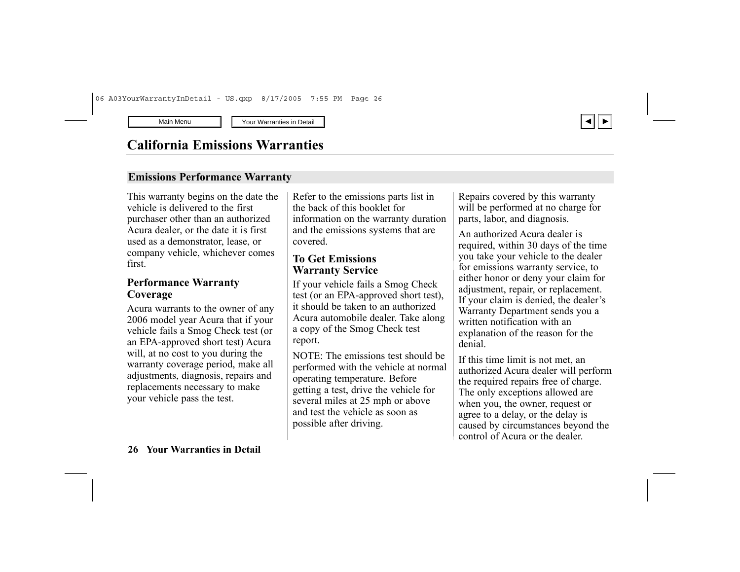

# **California Emissions Warranties**

#### **Emissions Performance Warranty**

This warranty begins on the date the vehicle is delivered to the first purchaser other than an authorized Acura dealer, or the date it is first used as a demonstrator, lease, or company vehicle, whichever comes first.

#### **Performance Warranty Coverage**

Acura warrants to the owner of any 2006 model year Acura that if your vehicle fails a Smog Check test (or an EPA-approved short test) Acura will, at no cost to you during the warranty coverage period, make all adjustments, diagnosis, repairs and replacements necessary to make your vehicle pass the test.

Refer to the emissions parts list in the back of this booklet for information on the warranty duration and the emissions systems that are covered.

### **To Get Emissions Warranty Service**

If your vehicle fails a Smog Check test (or an EPA-approved short test), it should be taken to an authorized Acura automobile dealer. Take along a copy of the Smog Check test report.

NOTE: The emissions test should be performed with the vehicle at normal operating temperature. Before getting a test, drive the vehicle for several miles at 25 mph or above and test the vehicle as soon as possible after driving.

Repairs covered by this warranty will be performed at no charge for parts, labor, and diagnosis.

An authorized Acura dealer is required, within 30 days of the time you take your vehicle to the dealer for emissions warranty service, to either honor or deny your claim for adjustment, repair, or replacement. If your claim is denied, the dealer's Warranty Department sends you a written notification with an explanation of the reason for the denial.

If this time limit is not met, an authorized Acura dealer will perform the required repairs free of charge. The only exceptions allowed are when you, the owner, request or agree to a delay, or the delay is caused by circumstances beyond the control of Acura or the dealer.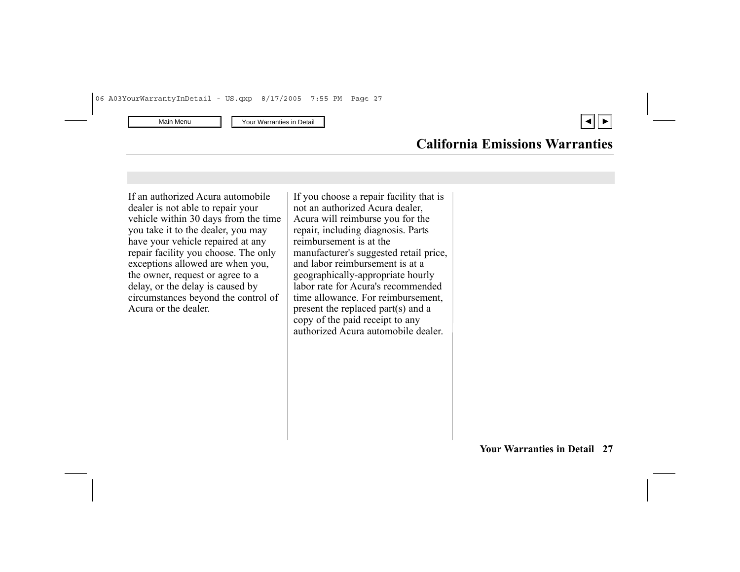▲ ▼

### **California Emissions Warranties**

If an authorized Acura automobile dealer is not able to repair your vehicle within 30 days from the time you take it to the dealer, you may have your vehicle repaired at any repair facility you choose. The only exceptions allowed are when you, the owner, request or agree to a delay, or the delay is caused by circumstances beyond the control of Acura or the dealer.

If you choose a repair facility that is not an authorized Acura dealer, Acura will reimburse you for the repair, including diagnosis. Parts reimbursement is at the manufacturer's suggested retail price, and labor reimbursement is at a geographically-appropriate hourly labor rate for Acura's recommended time allowance. For reimbursement, present the replaced part(s) and a copy of the paid receipt to any authorized Acura automobile dealer.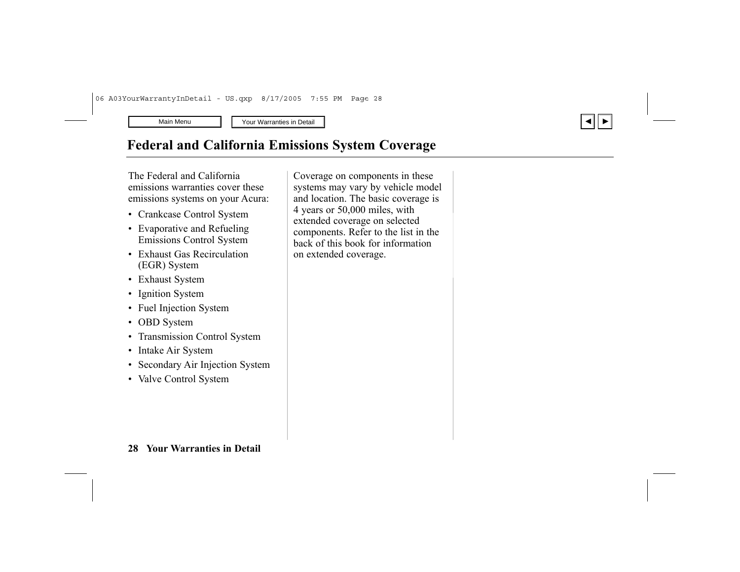# <span id="page-27-0"></span>**Federal and California Emissions System Coverage**

The Federal and California emissions warranties cover these emissions systems on your Acura:

- Crankcase Control System
- • Evaporative and Refueling Emissions Control System
- Exhaust Gas Recirculation (EGR) System
- Exhaust System
- Ignition System
- Fuel Injection System
- OBD System
- •Transmission Control System
- Intake Air System
- Secondary Air Injection System
- Valve Control System

Coverage on components in these systems may vary by vehicle model and location. The basic coverage is 4 years or 50,000 miles, with extended coverage on selected components. Refer to the list in the back of this book for information on extended coverage.

▲ ▼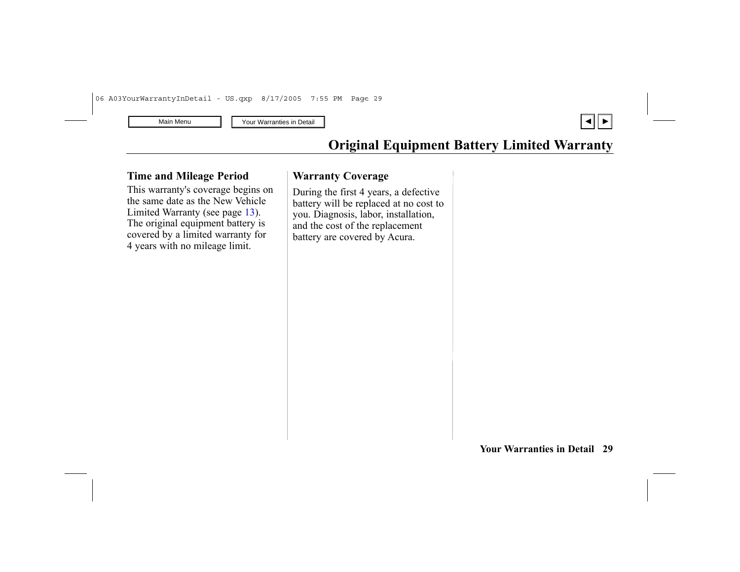

# **Original Equipment Battery Limited Warranty**

#### <span id="page-28-0"></span>**Time and Mileage Period**

This warranty's coverage begins on the same date as the New Vehicle Limited Warranty (see page [13](#page-12-0)). The original equipment battery is covered by a limited warranty for 4 years with no mileage limit.

#### **Warranty Coverage**

During the first 4 years, a defective battery will be replaced at no cost to you. Diagnosis, labor, installation, and the cost of the replacement battery are covered by Acura.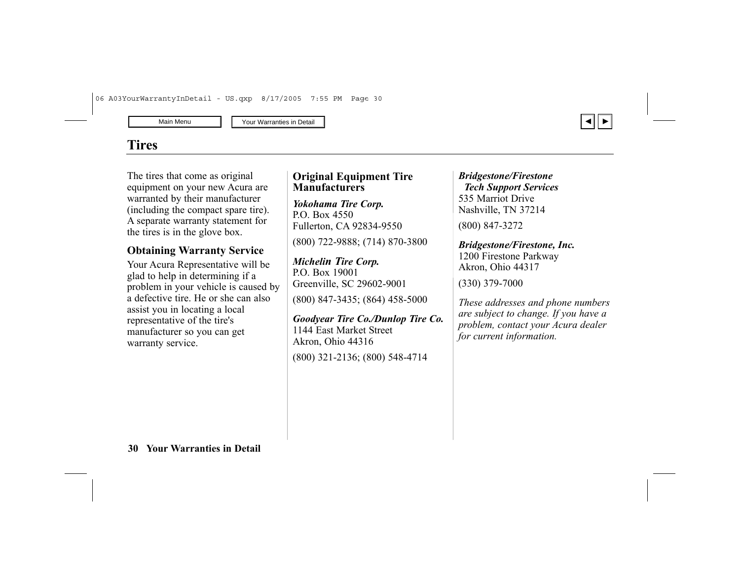# <span id="page-29-0"></span>**Tires**

The tires that come as original equipment on your new Acura are warranted by their manufacturer (including the compact spare tire). A separate warranty statement for the tires is in the glove box.

### **Obtaining Warranty Service**

Your Acura Representative will be glad to help in determining if a problem in your vehicle is caused by a defective tire. He or she can also assist you in locating a local representative of the tire's manufacturer so you can get warranty service.

### **Original Equipment Tire Manufacturers**

*Yokohama Tire Corp.* P.O. Box 4550 Fullerton, CA 92834-9550

(800) 722-9888; (714) 870-3800

*Michelin Tire Corp.* P.O. Box 19001 Greenville, SC 29602-9001 (800) 847-3435; (864) 458-5000

*Goodyear Tire Co./Dunlop Tire Co.* 1144 East Market Street Akron, Ohio 44316 (800) 321-2136; (800) 548-4714

*Bridgestone/Firestone Tech Support Services* 535 Marriot Drive Nashville, TN 37214 (800) 847-3272

*Bridgestone/Firestone, Inc.* 1200 Firestone Parkway Akron, Ohio 44317

(330) 379-7000

*These addresses and phone numbers are subject to change. If you have a problem, contact your Acura dealer for current information.*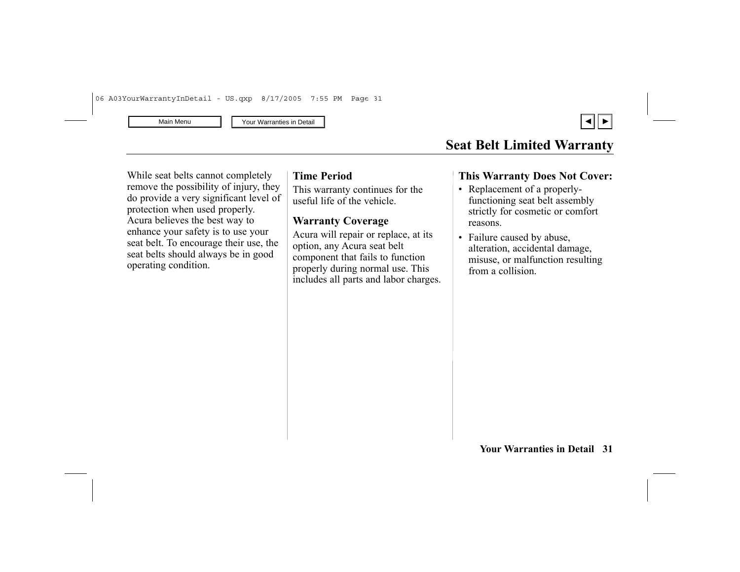

# **Seat Belt Limited Warranty**

<span id="page-30-0"></span>While seat belts cannot completely remove the possibility of injury, they do provide a very significant level of protection when used properly. Acura believes the best way to enhance your safety is to use your seat belt. To encourage their use, the seat belts should always be in good operating condition.

#### **Time Period**

This warranty continues for the useful life of the vehicle.

### **Warranty Coverage**

Acura will repair or replace, at its option, any Acura seat belt component that fails to function properly during normal use. This includes all parts and labor charges.

### **This Warranty Does Not Cover:**

- Replacement of a properlyfunctioning seat belt assembly strictly for cosmetic or comfort reasons.
- • Failure caused by abuse, alteration, accidental damage, misuse, or malfunction resulting from a collision.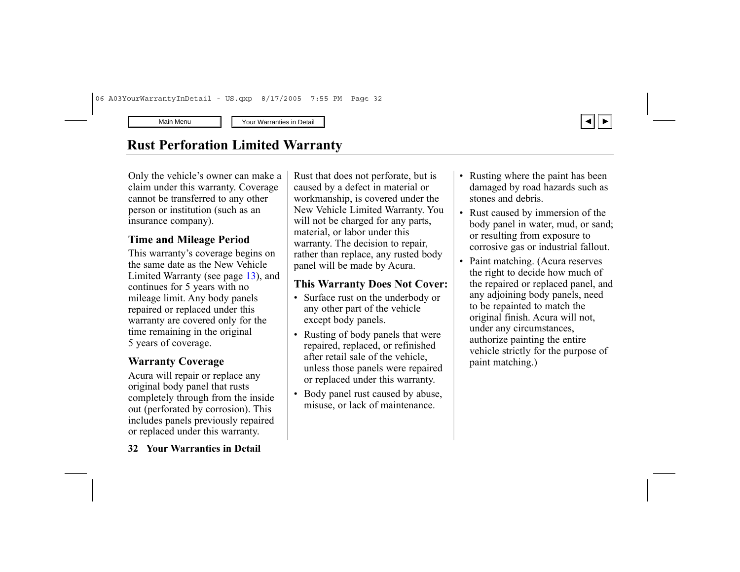

# <span id="page-31-0"></span>**Rust Perforation Limited Warranty**

Only the vehicle's owner can make a claim under this warrant y. Coverage cannot be transferred to any other person or institution (such as an insurance company).

### **Time and Mileage Period**

This warranty's coverage begins on the same date as the New Vehicle Limited Warranty (see page [13](#page-12-0)), and continues for 5 years with no mileage limit. Any body panels repaired or replaced under this warranty are covered only for the time remaining in the original 5 years of coverage.

### **Warranty Coverage**

Acura will repair or replace any original body panel that rusts completely through from the inside out (perforated by corrosion). This includes panels previously repaired or replaced under this warranty.

Rust that does not perforate, but is caused by a defect in material or workmanship, is covered under the New Vehicle Limited Warranty. You will not be charged for any parts, material, or labor under this warranty. The decision to repair, rather than replace, any rusted body panel will be made by Acura.

### **This Warranty Does Not Cover:**

- Surface rust on the underbody or any other part of the vehicle except body panels.
- Rusting of body panels that were repaired, replaced, or refinished after retail sale of the vehicle, unless those panels were repaired or replaced under this warranty.
- Body panel rust caused by abuse, misuse, or lack of maintenance.
- Rusting where the paint has been damaged by road hazards such as stones and debris.
- Rust caused by immersion of the body panel in water, mud, or sand; or resulting from exposure to corrosive gas or industrial fallout.
- Paint matching. (Acura reserves the right to decide how much of the repaired or replaced panel, and any adjoining body panels, need to be repainted to match the original finish. Acura will not, under any circumstances, authorize painting the entire vehicle strictly for the purpose of paint matching.)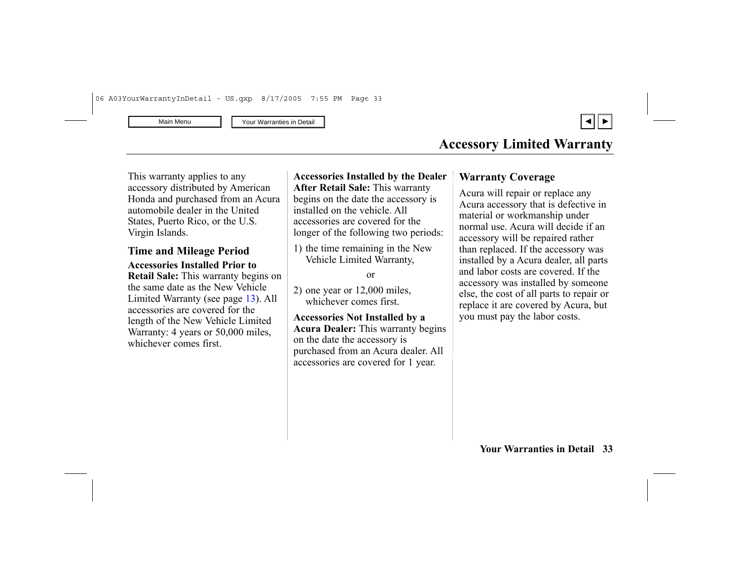

<span id="page-32-0"></span>This warranty applies to any accessory distributed by American Honda and purchased from an Acura automobile dealer in the United States, Puerto Rico, or the U.S. Virgin Islands.

### **Time and Mileage Period**

**Accessories Installed Prior to Retail Sale:** This warranty begins on the same date as the New Vehicle Limited Warranty (see page [13\)](#page-12-0). All accessories are covered for the length of the New Vehicle Limited Warranty: 4 years or 50,000 miles, whichever comes first.

**Accessories Installed by the Dealer After Retail Sale:** This warranty begins on the date the accessory is installed on the vehicle. All accessories are covered for the longer of the following two periods:

1) the time remaining in the New Vehicle Limited Warranty,

or

2) one year or 12,000 miles, whichever comes first.

**Accessories Not Installed by a Acura Dealer:** This warranty begins on the date the accessory is purchased from an Acura dealer. All accessories are covered for 1 year.

#### **Warranty Coverage**

Acura will repair or replace any Acura accessory that is defective in material or workmanship under normal use. Acura will decide if an accessory will be repaired rather than replaced. If the accessory was installed by a Acura dealer, all parts and labor costs are covered. If the accessory was installed by someone else, the cost of all parts to repair or replace it are covered by Acura, but you must pay the labor costs.

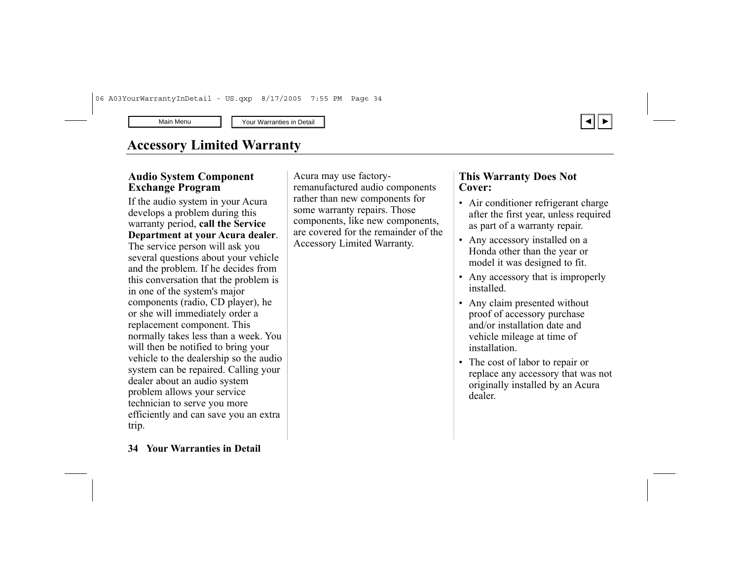# **Accessory Limited Warranty**

#### **Audio System Component Exchange Program**

If the audio system in your Acura develops a problem during this warranty period, **call the Service Department at your Acura dealer**. The service person will ask you several questions about your vehicle and the problem. If he decides from this conversation that the problem is in one of the system's major components (radio, CD player), he or she will immediately order a replacement component. This normally takes less than a week. You will then be notified to bring your vehicle to the dealership so the audio system can be repaired. Calling your dealer about an audio system problem allows your service technician to serve you more efficiently and can save you an extra trip.

Acura may use factoryremanufactured audio components rather than new components for some warranty repairs. Those components, like new components, are covered for the remainder of the Accessory Limited Warranty.

#### **This Warranty Does Not Cover:**

- Air conditioner refrigerant charge after the first year, unless required as part of a warranty repair.
- Any accessory installed on a Honda other than the year or model it was designed to fit.
- Any accessory that is improperly installed.
- Any claim presented without proof of accessory purchase and/or installation date and vehicle mileage at time of installation.
- The cost of labor to repair or replace any accessory that was not originally installed by an Acura dealer.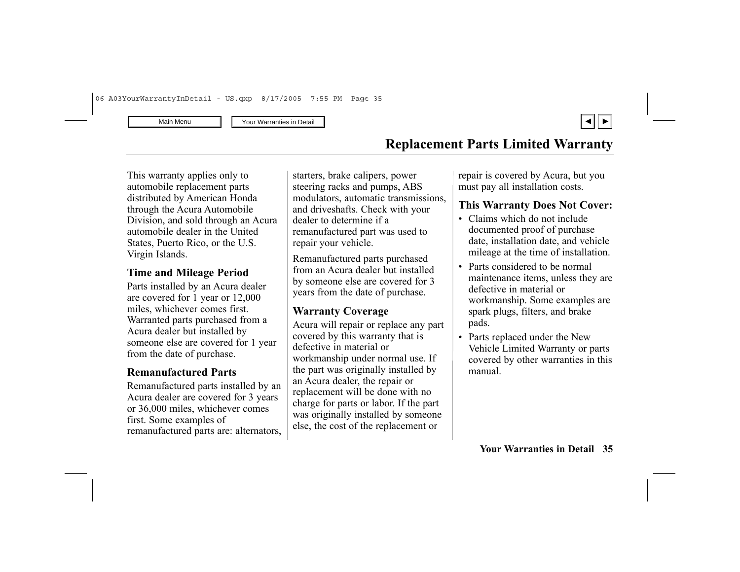

<span id="page-34-0"></span>This warranty applies only to automobile replacement parts distributed by American Honda through the Acura Automobile Division, and sold through an Acura automobile dealer in the United States, Puerto Rico, or the U.S. Virgin Islands.

### **Time and Mileage Period**

Parts installed by an Acura dealer are covered for 1 year or 12,000 miles, whichever comes first. Warranted parts purchased from a Acura dealer but installed by someone else are covered for 1 year from the date of purchase.

#### **Remanufactured Parts**

Remanufactured parts installed by an Acura dealer are covered for 3 years or 36,000 miles, whichever comes first. Some examples of remanufactured parts are: alternators,

starters, brake calipers, power steering racks and pumps, ABS modulators, automatic transmissions, and driveshafts. Check with your dealer to determine if a remanufactured part was used to repair your vehicle.

Remanufactured parts purchased from an Acura dealer but installed by someone else are covered for 3 years from the date of purchase.

### **Warranty Coverage**

Acura will repair or replace any part covered by this warranty that is defective in material or workmanship under normal use. If the part was originally installed by an Acura dealer, the repair or replacement will be done with no charge for parts or labor. If the part was originally installed by someone else, the cost of the replacement or

repair is covered by Acura, but you must pay all installation costs.

### **This Warranty Does Not Cover:**

- Claims which do not include documented proof of purchase date, installation date, and vehicle mileage at the time of installation.
- Parts considered to be normal maintenance items, unless they are defective in material or workmanship. Some examples are spark plugs, filters, and brake pads.
- Parts replaced under the New Vehicle Limited Warranty or parts covered by other warranties in this manual.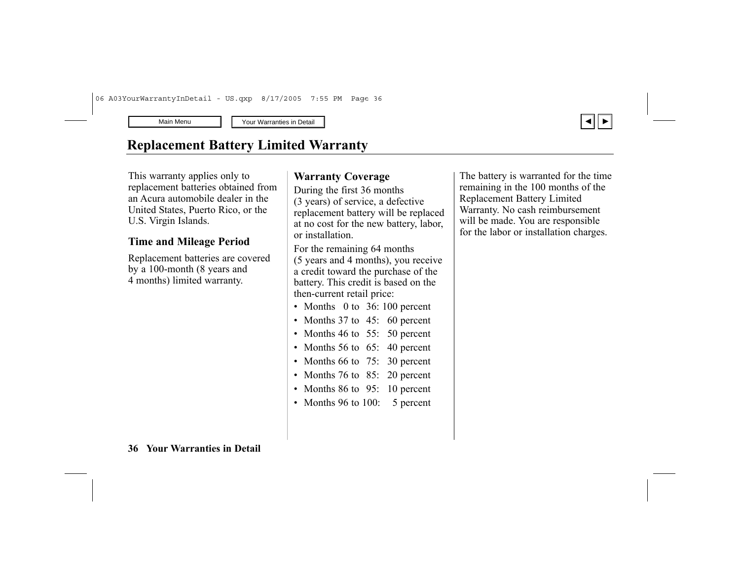# <span id="page-35-0"></span>**Replacement Battery Limited Warranty**

This warranty applies only to replacement batteries obtained from an Acura automobile dealer in the United States, Puerto Rico, or the U.S. Virgin Islands.

### **Time and Mileage Period**

Replacement batteries are covered by a 100-month (8 years and 4 months) limited warranty.

#### **Warranty Coverage**

During the first 36 months (3 years) of service, a defective replacement battery will be replaced at no cost for the new battery, labor, or installation.

For the remaining 64 months (5 years and 4 months), you receive a credit toward the purchase of the battery. This credit is based on the then-current retail price:

- Months 0 to 36: 100 percent
- Months 37 to 45: 60 percent
- Months 46 to 55: 50 percent
- Months 56 to 65: 40 percent
- Months 66 to 75: 30 percent
- Months 76 to 85: 20 percent
- Months 86 to 95: 10 percent
- Months 96 to 100: 5 percent

The battery is warranted for the time remaining in the 100 months of the Replacement Battery Limited Warranty. No cash reimbursement will be made. You are responsible for the labor or installation charges.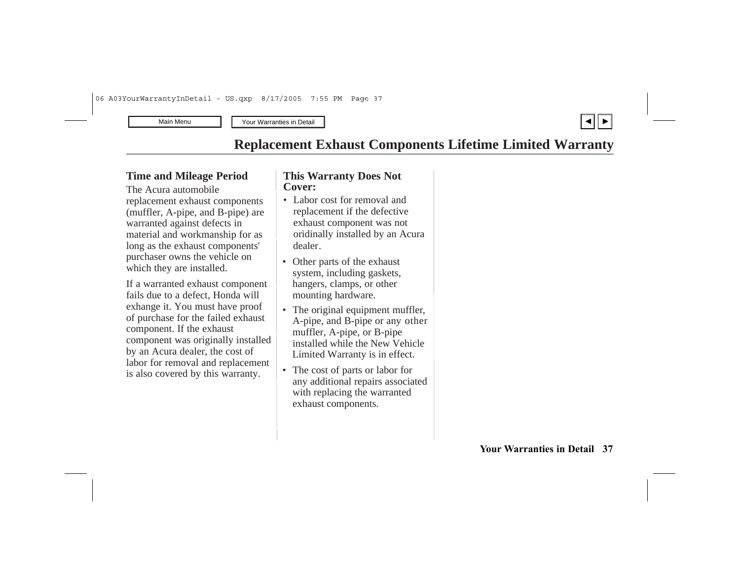## **Replacement Exhaust Components Lifetime Limited Warranty**

#### <span id="page-36-0"></span>**Tim e a n d Mile a g e P e rio d**

T he Acura auto m o bile replacement exhaust components (muffler, A-pipe, and B-pipe) are warranted against defects in material and workmanship for as long as the exhaust components' purchaser owns the vehicle on which they are installed.

If a warranted exhaust component fails due to a defect, Honda will exhange it. You must have proof of purchase for the failed exhaust component. If the exhaust component was originally installed by an Acura dealer, the cost of labor for removal and replacement is also covered by this warranty.

#### **This Warranty Does Not Cover:**

- dealer. • Labor cost for removal and replacement if the defective exhaust co mponent was not ori dinally installed by an Acura
- Other parts of the exhaust system, including gaskets, hangers, clamps, or other mounting hardware.
- Limited Warranty is in effect. • The original equipment muffler, A-pipe, and B-pipe or an y other muffler, A-pipe, or B-pipe installed while the New Vehicle
- The cost of parts or labor for any additional repairs associated with replacing the warranted exhaust components.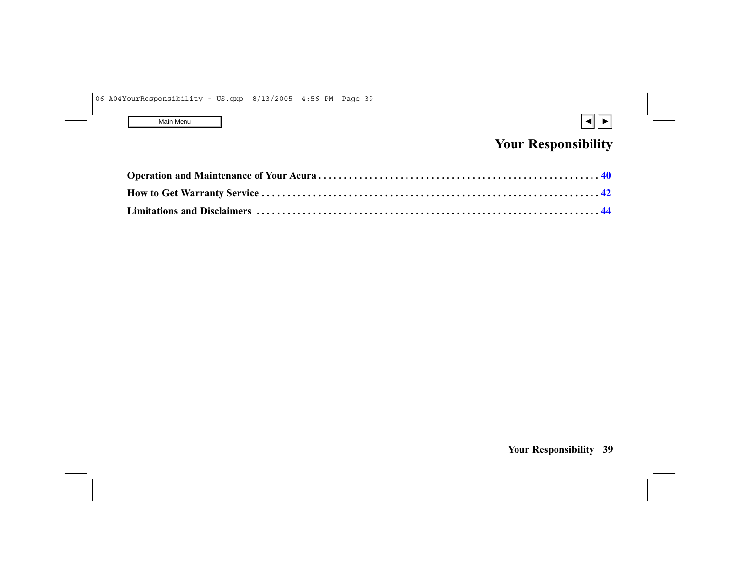<span id="page-37-0"></span>

# **Your Responsibility**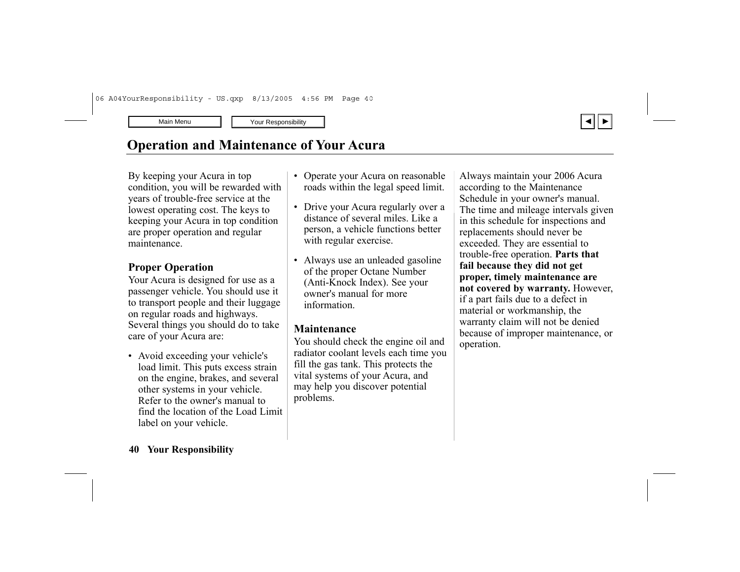# <span id="page-38-0"></span>**Operation and Maintenance of Your Acura**

By keeping your Acura in top condition, you will be rewarded with years of trouble-free service at the lowest operating cost. The keys to keeping your Acura in top condition are proper operation and regular maintenance.

### **Proper Operation**

Your Acura is designed for use as a passenger vehicle. You should use it to transport people and their luggage on regular roads and highways. Several things you should do to take care of your Acura are:

• Avoid exceeding your vehicle's load limit. This puts excess strain on the engine, brakes, and several other systems in your vehicle. Refer to the owner's manual to find the location of the Load Limit label on your vehicle.

- • Operate your Acura on reasonable roads within the legal speed limit.
- Drive your Acura regularly over a distance of several miles. Like a person, a vehicle functions better with regular exercise.
- Always use an unleaded gasoline of the proper Octane Number (Anti-Knock Index). See your owner's manual for more information.

#### **Maintenance**

You should check the engine oil and radiator coolant levels each time you fill the gas tank. This protects the vital systems of your Acura, and may help you discover potential problems.

Always maintain your 2006 Acura according to the Maintenance Schedule in your owner's manual. The time and mileage intervals given in this schedule for inspections and replacements should never be exceeded. They are essential to trouble-free operation. **Parts that fail because they did not get proper, timely maintenance are not covered by warranty.** However, if a part fails due to a defect in material or workmanship, the warranty claim will not be denied because of improper maintenance, or operation.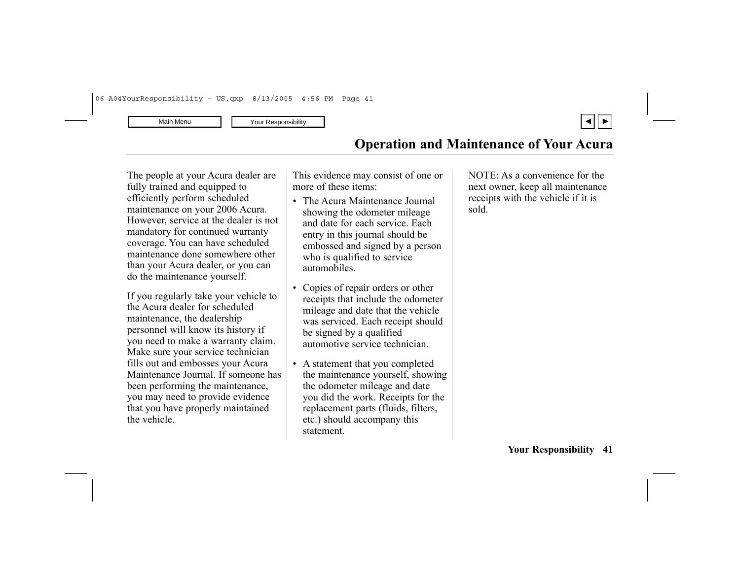

The people at your Acura dealer are fully trained and equipped to efficiently perform scheduled maintenance on your 2006 Acura. However, service at the dealer is not mandatory for continued warranty coverage. You can have scheduled maintenance done somewhere other than your Acura dealer, or you can do the maintenance yourself.

If you regularly take your vehicle to the Acura dealer for scheduled maintenance, the dealership personnel will know its history if you need to make a warranty claim. Make sure your service technician fills out and embosses your Acura Maintenance Journal. If someone has been performing the maintenance, you may need to provide evidence that you have properly maintained the vehicle.

This evidence may consist of one or more of these items:

- The Acura Maintenance Journal showing the odometer mileage and date for each service. Each entry in this journal should be embossed and signed by a person who is qualified to service automobiles.
- Copies of repair orders or other receipts that include the odometer mileage and date that the vehicle was serviced. Each receipt should be signed by a qualified automotive service technician.
- A statement that you completed the maintenance yourself, showing the odometer mileage and date you did the work. Receipts for the replacement parts (fluids, filters, etc.) should accompany this statement.

NOTE: As a convenience for the next owner, keep all maintenance receipts with the vehicle if it is sold.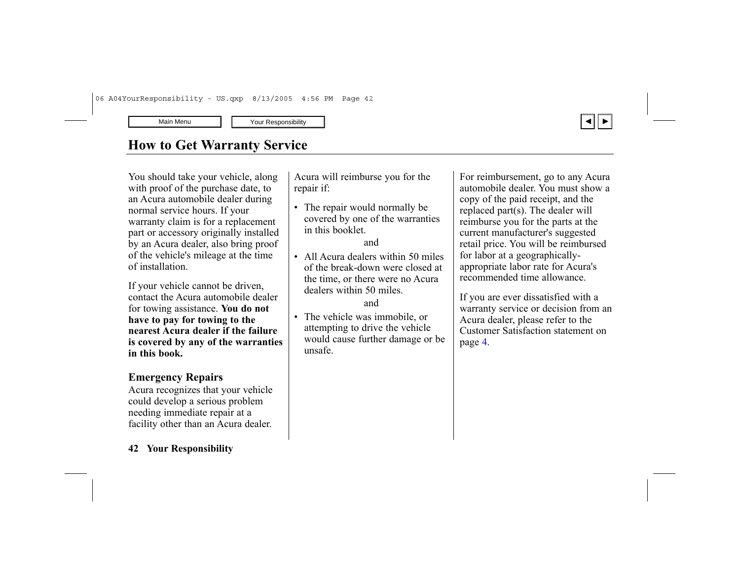# <span id="page-40-0"></span>**How to Get Warranty Service**

You should take your vehicle, along with proof of the purchase date, to an Acura automobile dealer during normal service hours. If your warranty claim is for a replacement part or accessory originally installed by an Acura dealer, also bring proof of the vehicle's mileage at the time of installation.

If your vehicle cannot be driven, contact the Acura automobile dealer for towing assistance. **You do not have to pay for towing to the nearest Acura dealer if the failure is covered by any of the warranties in this book.**

#### **Emergency Repairs**

Acura recognizes that your vehicle could develop a serious problem needing immediate repair at a facility other than an Acura dealer.

#### **42 Your Responsibility**

Acura will reimburse you for the repair if:

• The repair would normally be covered by one of the warranties in this booklet.

#### and

• All Acura dealers within 50 miles of the break-down were closed at the time, or there were no Acura dealers within 50 miles.

#### and

• The vehicle was immobile, or attempting to drive the vehicle would cause further damage or be unsafe.

For reimbursement, go to any Acura automobile dealer. You must show a copy of the paid receipt, and the replaced part(s). The dealer will reimburse you for the parts at the current manufacturer's suggested retail price. You will be reimbursed for labor at a geographicallyappropriate labor rate for Acura's recommended time allowance.

If you are ever dissatisfied with a warranty service or decision from an Acura dealer, please refer to the Customer Satisfaction statement on page [4](#page-4-0).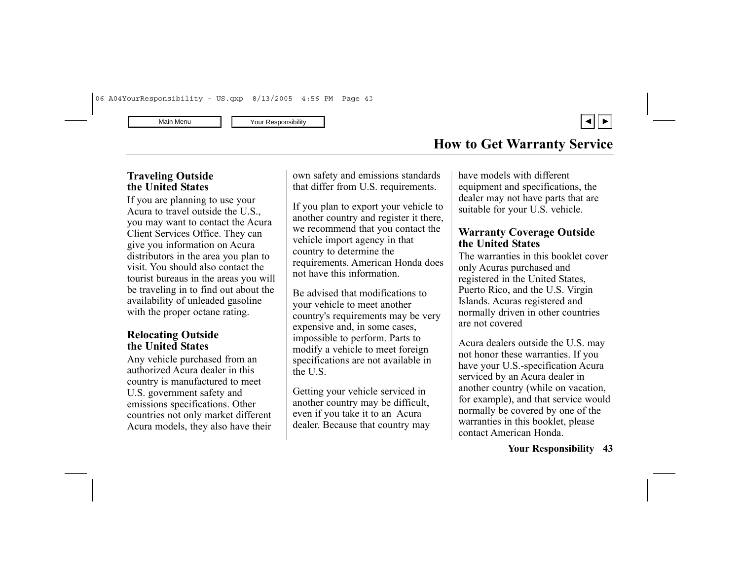

### **How to Get Warranty Service**

#### **Traveling Outside the United States**

If you are planning to use your Acura to travel outside the U.S., you may want to contact the Acura Client Services Office. They can give you information on Acura distributors in the area you plan to visit. You should also contact the tourist bureaus in the areas you will be traveling in to find out about the availability of unleaded gasoline with the proper octane rating.

#### **Relocating Outside the United States**

Any vehicle purchased from an authorized Acura dealer in this country is manufactured to meet U.S. government safety and emissions specifications. Other countries not only market different Acura models, they also have their own safety and emissions standards that differ from U.S. requirements.

If you plan to export your vehicle to another country and register it there, we recommend that you contact the vehicle import agency in that country to determine the requirements. American Honda does not have this information.

Be advised that modifications to your vehicle to meet another country's requirements may be very expensive and, in some cases, impossible to perform. Parts to modify a vehicle to meet foreign specifications are not available in the U.S.

Getting your vehicle serviced in another country may be difficult, even if you take it to an Acura dealer. Because that country may

have models with different equipment and specifications, the dealer may not have parts that are suitable for your U.S. vehicle.

#### **Warranty Coverage Outside the United States**

The warranties in this booklet cover only Acuras purchased and registered in the United States, Puerto Rico, and the U.S. Virgin Islands. Acuras registered and normally driven in other countries are not covered

Acura dealers outside the U.S. may not honor these warranties. If you have your U.S.-specification Acura serviced by an Acura dealer in another country (while on vacation, for example), and that service would normally be covered by one of the warranties in this booklet, please contact American Honda.